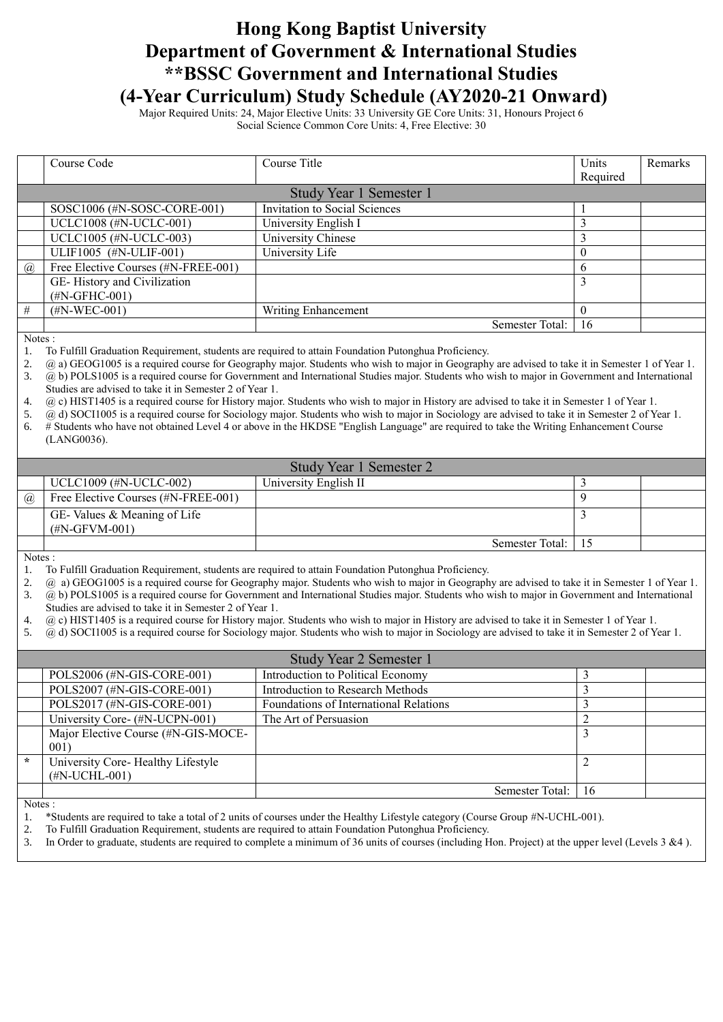## **Hong Kong Baptist University Department of Government & International Studies \*\*BSSC Government and International Studies (4-Year Curriculum) Study Schedule (AY2020-21 Onward)**

Major Required Units: 24, Major Elective Units: 33 University GE Core Units: 31, Honours Project 6 Social Science Common Core Units: 4, Free Elective: 30

|                       | Course Code                                                                                                                                       | Course Title                  | Units    | Remarks |
|-----------------------|---------------------------------------------------------------------------------------------------------------------------------------------------|-------------------------------|----------|---------|
|                       |                                                                                                                                                   |                               | Required |         |
|                       | Study Year 1 Semester 1                                                                                                                           |                               |          |         |
|                       | SOSC1006 (#N-SOSC-CORE-001)                                                                                                                       | Invitation to Social Sciences |          |         |
|                       | UCLC1008 (#N-UCLC-001)                                                                                                                            | University English I          | 3        |         |
|                       | UCLC1005 (#N-UCLC-003)                                                                                                                            | University Chinese            | 3        |         |
|                       | ULIF1005 (#N-ULIF-001)                                                                                                                            | University Life               | $\Omega$ |         |
| $\left(\alpha\right)$ | Free Elective Courses (#N-FREE-001)                                                                                                               |                               | 6        |         |
|                       | GE-History and Civilization                                                                                                                       |                               | 3        |         |
|                       | $(\text{\#N-GFHC-001})$                                                                                                                           |                               |          |         |
| #                     | $(HN-WEC-001)$                                                                                                                                    | Writing Enhancement           | $\Omega$ |         |
|                       |                                                                                                                                                   | Semester Total:               | 16       |         |
| Notes :               |                                                                                                                                                   |                               |          |         |
|                       | To Fulfill Graduation Requirement, students are required to attain Foundation Putonghua Proficiency.                                              |                               |          |         |
| 2.                    | @ a) GEOG1005 is a required course for Geography major. Students who wish to major in Geography are advised to take it in Semester 1 of Year 1.   |                               |          |         |
| 3.                    | (a) b) POLS1005 is a required course for Government and International Studies major. Students who wish to major in Government and International   |                               |          |         |
|                       | Studies are advised to take it in Semester 2 of Year 1.                                                                                           |                               |          |         |
| 4.                    | (a) c) HIST1405 is a required course for History major. Students who wish to major in History are advised to take it in Semester 1 of Year 1.     |                               |          |         |
| 5.                    | (a) d) SOCI1005 is a required course for Sociology major. Students who wish to major in Sociology are advised to take it in Semester 2 of Year 1. |                               |          |         |
| 6                     | # Students who have not obtained Level 4 or above in the HKDSE "Fuglish Language" are required to take the Writing Enhancement Course             |                               |          |         |

" Englisn Language" are required to take the Writing Enhancement Course (LANG0036).

| Study Year 1 Semester 2 |                                                |                       |  |  |
|-------------------------|------------------------------------------------|-----------------------|--|--|
|                         | UCLC1009 $(\#N-UCLC-002)$                      | University English II |  |  |
| (a)                     | Free Elective Courses (#N-FREE-001)            |                       |  |  |
|                         | GE-Values & Meaning of Life<br>$(HN-GFVM-001)$ |                       |  |  |
|                         |                                                | Semester Total: 15    |  |  |

Notes :

1. To Fulfill Graduation Requirement, students are required to attain Foundation Putonghua Proficiency.

- 2. @ a) GEOG1005 is a required course for Geography major. Students who wish to major in Geography are advised to take it in Semester 1 of Year 1. 3. @ b) POLS1005 is a required course for Government and International Studies major. Students who wish to major in Government and International
- Studies are advised to take it in Semester 2 of Year 1.

4. @ c) HIST1405 is a required course for History major. Students who wish to major in History are advised to take it in Semester 1 of Year 1.

5. @ d) SOCI1005 is a required course for Sociology major. Students who wish to major in Sociology are advised to take it in Semester 2 of Year 1.

| Study Year 2 Semester 1 |                                     |                                        |     |  |
|-------------------------|-------------------------------------|----------------------------------------|-----|--|
|                         | POLS2006 (#N-GIS-CORE-001)          | Introduction to Political Economy      |     |  |
|                         | POLS2007 (#N-GIS-CORE-001)          | Introduction to Research Methods       |     |  |
|                         | POLS2017 (#N-GIS-CORE-001)          | Foundations of International Relations |     |  |
|                         | University Core- (#N-UCPN-001)      | The Art of Persuasion                  |     |  |
|                         | Major Elective Course (#N-GIS-MOCE- |                                        |     |  |
|                         | 001)                                |                                        |     |  |
| $\star$                 | University Core- Healthy Lifestyle  |                                        |     |  |
|                         | $(HN-UCHL-001)$                     |                                        |     |  |
|                         |                                     | Semester Total:                        | -16 |  |

Notes :

1. \*Students are required to take a total of 2 units of courses under the Healthy Lifestyle category (Course Group #N-UCHL-001).

2. To Fulfill Graduation Requirement, students are required to attain Foundation Putonghua Proficiency.

3. In Order to graduate, students are required to complete a minimum of 36 units of courses (including Hon. Project) at the upper level (Levels 3 &4 ).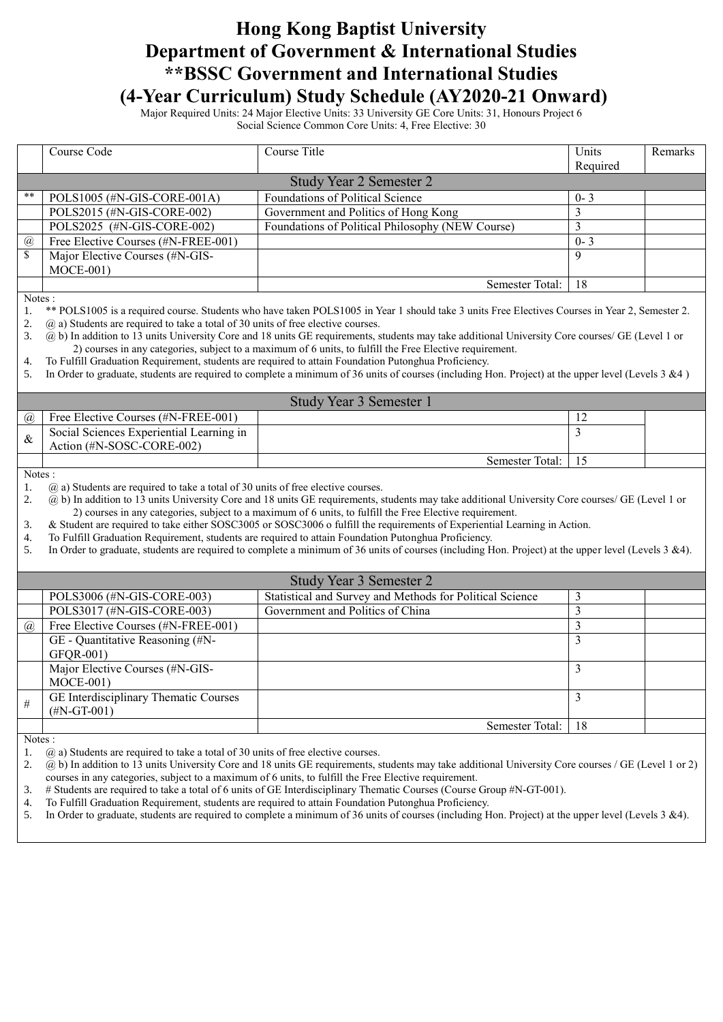## **Hong Kong Baptist University Department of Government & International Studies \*\*BSSC Government and International Studies (4-Year Curriculum) Study Schedule (AY2020-21 Onward)**

Major Required Units: 24 Major Elective Units: 33 University GE Core Units: 31, Honours Project 6 Social Science Common Core Units: 4, Free Elective: 30

|                              | Course Code                                                                                                                                                                                                                       | Course Title                                                                                                                                                                                                                                                  | Units          | Remarks |
|------------------------------|-----------------------------------------------------------------------------------------------------------------------------------------------------------------------------------------------------------------------------------|---------------------------------------------------------------------------------------------------------------------------------------------------------------------------------------------------------------------------------------------------------------|----------------|---------|
|                              |                                                                                                                                                                                                                                   | <b>Study Year 2 Semester 2</b>                                                                                                                                                                                                                                | Required       |         |
| **                           |                                                                                                                                                                                                                                   | Foundations of Political Science                                                                                                                                                                                                                              |                |         |
|                              | POLS1005 (#N-GIS-CORE-001A)                                                                                                                                                                                                       |                                                                                                                                                                                                                                                               | $0 - 3$        |         |
|                              | POLS2015 (#N-GIS-CORE-002)                                                                                                                                                                                                        | Government and Politics of Hong Kong                                                                                                                                                                                                                          | $\mathfrak{Z}$ |         |
|                              | POLS2025 (#N-GIS-CORE-002)                                                                                                                                                                                                        | Foundations of Political Philosophy (NEW Course)                                                                                                                                                                                                              | 3              |         |
| @<br>$\overline{\mathbb{S}}$ | Free Elective Courses (#N-FREE-001)                                                                                                                                                                                               |                                                                                                                                                                                                                                                               | $0 - 3$        |         |
|                              | Major Elective Courses (#N-GIS-                                                                                                                                                                                                   |                                                                                                                                                                                                                                                               | 9              |         |
|                              | $MOCE-001)$                                                                                                                                                                                                                       |                                                                                                                                                                                                                                                               |                |         |
|                              |                                                                                                                                                                                                                                   | Semester Total:                                                                                                                                                                                                                                               | 18             |         |
| Notes:                       |                                                                                                                                                                                                                                   | ** POLS1005 is a required course. Students who have taken POLS1005 in Year 1 should take 3 units Free Electives Courses in Year 2, Semester 2.                                                                                                                |                |         |
| 1.<br>2.                     | $(a)$ a) Students are required to take a total of 30 units of free elective courses.                                                                                                                                              |                                                                                                                                                                                                                                                               |                |         |
| 3.                           |                                                                                                                                                                                                                                   | (a) b) In addition to 13 units University Core and 18 units GE requirements, students may take additional University Core courses/ GE (Level 1 or                                                                                                             |                |         |
|                              |                                                                                                                                                                                                                                   | 2) courses in any categories, subject to a maximum of 6 units, to fulfill the Free Elective requirement.                                                                                                                                                      |                |         |
| 4.                           |                                                                                                                                                                                                                                   | To Fulfill Graduation Requirement, students are required to attain Foundation Putonghua Proficiency.                                                                                                                                                          |                |         |
| 5.                           |                                                                                                                                                                                                                                   | In Order to graduate, students are required to complete a minimum of 36 units of courses (including Hon. Project) at the upper level (Levels $3 \& 4$ )                                                                                                       |                |         |
|                              |                                                                                                                                                                                                                                   |                                                                                                                                                                                                                                                               |                |         |
|                              |                                                                                                                                                                                                                                   | Study Year 3 Semester 1                                                                                                                                                                                                                                       |                |         |
| $\mathcal{a}$                | Free Elective Courses (#N-FREE-001)                                                                                                                                                                                               |                                                                                                                                                                                                                                                               | 12             |         |
| $\&$                         | Social Sciences Experiential Learning in                                                                                                                                                                                          |                                                                                                                                                                                                                                                               | 3              |         |
|                              | Action (#N-SOSC-CORE-002)                                                                                                                                                                                                         |                                                                                                                                                                                                                                                               |                |         |
|                              |                                                                                                                                                                                                                                   | Semester Total:                                                                                                                                                                                                                                               | 15             |         |
| Notes:                       |                                                                                                                                                                                                                                   |                                                                                                                                                                                                                                                               |                |         |
| 1.                           | $(a)$ a) Students are required to take a total of 30 units of free elective courses.                                                                                                                                              |                                                                                                                                                                                                                                                               |                |         |
| 2.                           |                                                                                                                                                                                                                                   | (a) b) In addition to 13 units University Core and 18 units GE requirements, students may take additional University Core courses/ GE (Level 1 or<br>2) courses in any categories, subject to a maximum of 6 units, to fulfill the Free Elective requirement. |                |         |
| 3.                           |                                                                                                                                                                                                                                   |                                                                                                                                                                                                                                                               |                |         |
| 4.                           | & Student are required to take either SOSC3005 or SOSC3006 o fulfill the requirements of Experiential Learning in Action.<br>To Fulfill Graduation Requirement, students are required to attain Foundation Putonghua Proficiency. |                                                                                                                                                                                                                                                               |                |         |
| 5.                           | In Order to graduate, students are required to complete a minimum of 36 units of courses (including Hon. Project) at the upper level (Levels 3 &4).                                                                               |                                                                                                                                                                                                                                                               |                |         |
|                              |                                                                                                                                                                                                                                   |                                                                                                                                                                                                                                                               |                |         |
|                              |                                                                                                                                                                                                                                   | Study Year 3 Semester 2                                                                                                                                                                                                                                       |                |         |
|                              | POLS3006 (#N-GIS-CORE-003)                                                                                                                                                                                                        | Statistical and Survey and Methods for Political Science                                                                                                                                                                                                      | 3              |         |
|                              | POLS3017 (#N-GIS-CORE-003)                                                                                                                                                                                                        | Government and Politics of China                                                                                                                                                                                                                              | 3              |         |
| $\overline{a}$               | Free Elective Courses (#N-FREE-001)                                                                                                                                                                                               |                                                                                                                                                                                                                                                               | $\overline{3}$ |         |
|                              | GE - Quantitative Reasoning (#N-                                                                                                                                                                                                  |                                                                                                                                                                                                                                                               | 3              |         |
|                              | GFQR-001)                                                                                                                                                                                                                         |                                                                                                                                                                                                                                                               |                |         |
|                              | Major Elective Courses (#N-GIS-                                                                                                                                                                                                   |                                                                                                                                                                                                                                                               | 3              |         |
|                              | $MOCE-001)$                                                                                                                                                                                                                       |                                                                                                                                                                                                                                                               |                |         |
|                              | <b>GE</b> Interdisciplinary Thematic Courses                                                                                                                                                                                      |                                                                                                                                                                                                                                                               | 3              |         |
| $\#$                         | $(\text{\#N-GT-001})$                                                                                                                                                                                                             |                                                                                                                                                                                                                                                               |                |         |
|                              |                                                                                                                                                                                                                                   | Semester Total:                                                                                                                                                                                                                                               | 18             |         |
| Notes:                       |                                                                                                                                                                                                                                   |                                                                                                                                                                                                                                                               |                |         |

1. @ a) Students are required to take a total of 30 units of free elective courses.

2.  $\varnothing$  b) In addition to 13 units University Core and 18 units GE requirements, students may take additional University Core courses / GE (Level 1 or 2) courses in any categories, subject to a maximum of 6 units, to fulfill the Free Elective requirement.

3. # Students are required to take a total of 6 units of GE Interdisciplinary Thematic Courses (Course Group #N-GT-001).

4. To Fulfill Graduation Requirement, students are required to attain Foundation Putonghua Proficiency.

5. In Order to graduate, students are required to complete a minimum of 36 units of courses (including Hon. Project) at the upper level (Levels 3 &4).